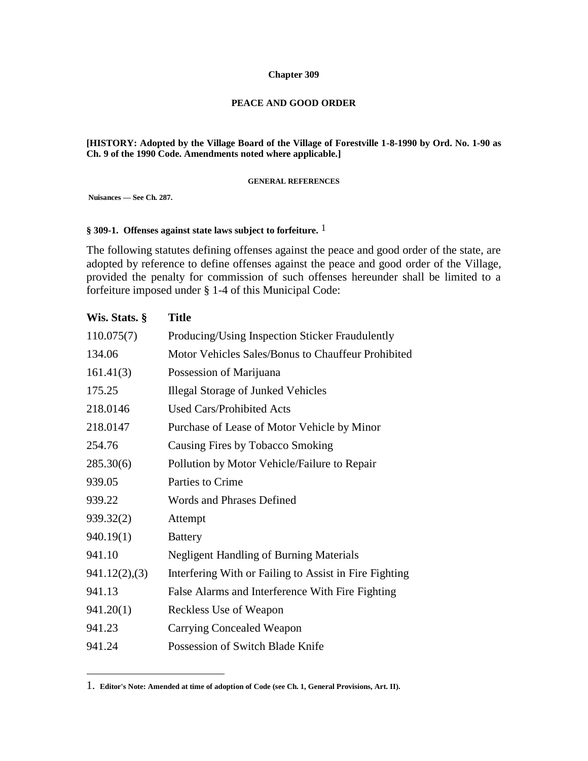#### **Chapter 309**

#### **PEACE AND GOOD ORDER**

**[HISTORY: Adopted by the Village Board of the Village of Forestville 1-8-1990 by Ord. No. 1-90 as Ch. 9 of the 1990 Code. Amendments noted where applicable.]**

#### **GENERAL REFERENCES**

**Nuisances — See Ch. 287.**

 $\overline{a}$ 

#### **§ 309-1. Offenses against state laws subject to forfeiture.** 1

The following statutes defining offenses against the peace and good order of the state, are adopted by reference to define offenses against the peace and good order of the Village, provided the penalty for commission of such offenses hereunder shall be limited to a forfeiture imposed under § 1-4 of this Municipal Code:

| Wis. Stats. § | <b>Title</b>                                           |
|---------------|--------------------------------------------------------|
| 110.075(7)    | Producing/Using Inspection Sticker Fraudulently        |
| 134.06        | Motor Vehicles Sales/Bonus to Chauffeur Prohibited     |
| 161.41(3)     | Possession of Marijuana                                |
| 175.25        | <b>Illegal Storage of Junked Vehicles</b>              |
| 218.0146      | <b>Used Cars/Prohibited Acts</b>                       |
| 218.0147      | Purchase of Lease of Motor Vehicle by Minor            |
| 254.76        | Causing Fires by Tobacco Smoking                       |
| 285.30(6)     | Pollution by Motor Vehicle/Failure to Repair           |
| 939.05        | Parties to Crime                                       |
| 939.22        | <b>Words and Phrases Defined</b>                       |
| 939.32(2)     | Attempt                                                |
| 940.19(1)     | <b>Battery</b>                                         |
| 941.10        | <b>Negligent Handling of Burning Materials</b>         |
| 941.12(2),(3) | Interfering With or Failing to Assist in Fire Fighting |
| 941.13        | False Alarms and Interference With Fire Fighting       |
| 941.20(1)     | Reckless Use of Weapon                                 |
| 941.23        | <b>Carrying Concealed Weapon</b>                       |
| 941.24        | Possession of Switch Blade Knife                       |

<sup>1.</sup> **Editor's Note: Amended at time of adoption of Code (see Ch. 1, General Provisions, Art. II).**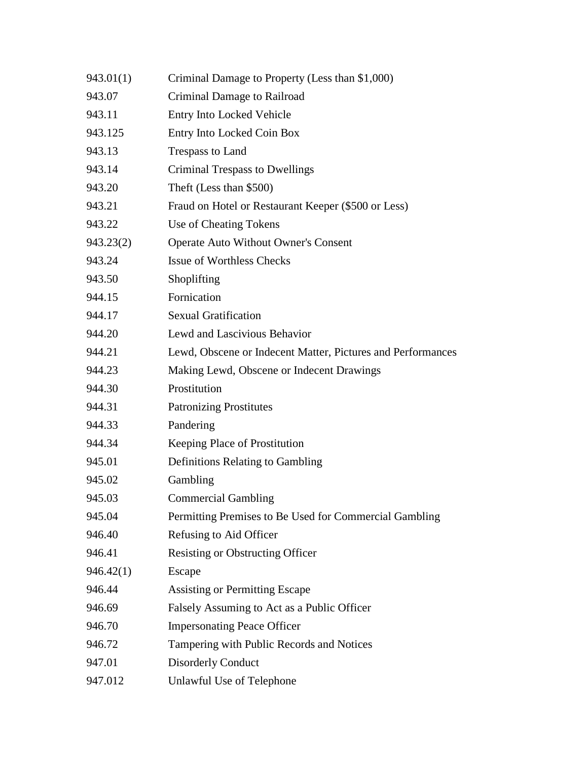| 943.01(1) | Criminal Damage to Property (Less than \$1,000)             |
|-----------|-------------------------------------------------------------|
| 943.07    | Criminal Damage to Railroad                                 |
| 943.11    | <b>Entry Into Locked Vehicle</b>                            |
| 943.125   | Entry Into Locked Coin Box                                  |
| 943.13    | Trespass to Land                                            |
| 943.14    | <b>Criminal Trespass to Dwellings</b>                       |
| 943.20    | Theft (Less than \$500)                                     |
| 943.21    | Fraud on Hotel or Restaurant Keeper (\$500 or Less)         |
| 943.22    | Use of Cheating Tokens                                      |
| 943.23(2) | <b>Operate Auto Without Owner's Consent</b>                 |
| 943.24    | <b>Issue of Worthless Checks</b>                            |
| 943.50    | Shoplifting                                                 |
| 944.15    | Fornication                                                 |
| 944.17    | <b>Sexual Gratification</b>                                 |
| 944.20    | Lewd and Lascivious Behavior                                |
| 944.21    | Lewd, Obscene or Indecent Matter, Pictures and Performances |
| 944.23    | Making Lewd, Obscene or Indecent Drawings                   |
| 944.30    | Prostitution                                                |
| 944.31    | <b>Patronizing Prostitutes</b>                              |
| 944.33    | Pandering                                                   |
| 944.34    | Keeping Place of Prostitution                               |
| 945.01    | Definitions Relating to Gambling                            |
| 945.02    | Gambling                                                    |
| 945.03    | <b>Commercial Gambling</b>                                  |
| 945.04    | Permitting Premises to Be Used for Commercial Gambling      |
| 946.40    | Refusing to Aid Officer                                     |
| 946.41    | <b>Resisting or Obstructing Officer</b>                     |
| 946.42(1) | Escape                                                      |
| 946.44    | <b>Assisting or Permitting Escape</b>                       |
| 946.69    | Falsely Assuming to Act as a Public Officer                 |
| 946.70    | <b>Impersonating Peace Officer</b>                          |
| 946.72    | Tampering with Public Records and Notices                   |
| 947.01    | <b>Disorderly Conduct</b>                                   |
| 947.012   | Unlawful Use of Telephone                                   |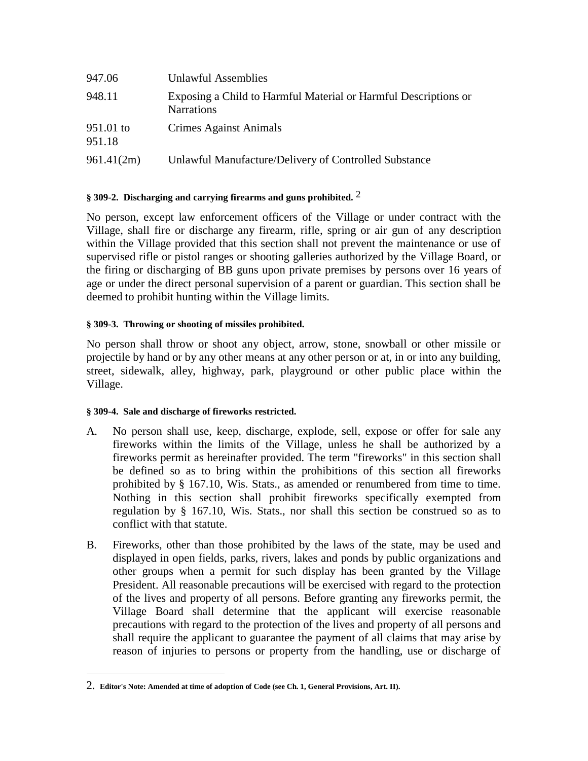| 947.06              | Unlawful Assemblies                                                                  |
|---------------------|--------------------------------------------------------------------------------------|
| 948.11              | Exposing a Child to Harmful Material or Harmful Descriptions or<br><b>Narrations</b> |
| 951.01 to<br>951.18 | Crimes Against Animals                                                               |
| 961.41(2m)          | Unlawful Manufacture/Delivery of Controlled Substance                                |

# **§ 309-2. Discharging and carrying firearms and guns prohibited.** 2

No person, except law enforcement officers of the Village or under contract with the Village, shall fire or discharge any firearm, rifle, spring or air gun of any description within the Village provided that this section shall not prevent the maintenance or use of supervised rifle or pistol ranges or shooting galleries authorized by the Village Board, or the firing or discharging of BB guns upon private premises by persons over 16 years of age or under the direct personal supervision of a parent or guardian. This section shall be deemed to prohibit hunting within the Village limits.

# **§ 309-3. Throwing or shooting of missiles prohibited.**

No person shall throw or shoot any object, arrow, stone, snowball or other missile or projectile by hand or by any other means at any other person or at, in or into any building, street, sidewalk, alley, highway, park, playground or other public place within the Village.

# **§ 309-4. Sale and discharge of fireworks restricted.**

 $\overline{a}$ 

- A. No person shall use, keep, discharge, explode, sell, expose or offer for sale any fireworks within the limits of the Village, unless he shall be authorized by a fireworks permit as hereinafter provided. The term "fireworks" in this section shall be defined so as to bring within the prohibitions of this section all fireworks prohibited by § 167.10, Wis. Stats., as amended or renumbered from time to time. Nothing in this section shall prohibit fireworks specifically exempted from regulation by § 167.10, Wis. Stats., nor shall this section be construed so as to conflict with that statute.
- B. Fireworks, other than those prohibited by the laws of the state, may be used and displayed in open fields, parks, rivers, lakes and ponds by public organizations and other groups when a permit for such display has been granted by the Village President. All reasonable precautions will be exercised with regard to the protection of the lives and property of all persons. Before granting any fireworks permit, the Village Board shall determine that the applicant will exercise reasonable precautions with regard to the protection of the lives and property of all persons and shall require the applicant to guarantee the payment of all claims that may arise by reason of injuries to persons or property from the handling, use or discharge of

<sup>2.</sup> **Editor's Note: Amended at time of adoption of Code (see Ch. 1, General Provisions, Art. II).**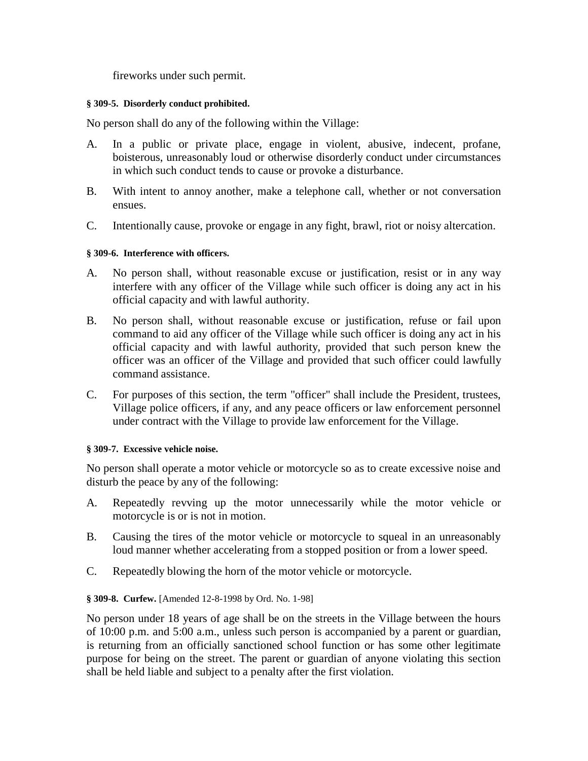fireworks under such permit.

#### **§ 309-5. Disorderly conduct prohibited.**

No person shall do any of the following within the Village:

- A. In a public or private place, engage in violent, abusive, indecent, profane, boisterous, unreasonably loud or otherwise disorderly conduct under circumstances in which such conduct tends to cause or provoke a disturbance.
- B. With intent to annoy another, make a telephone call, whether or not conversation ensues.
- C. Intentionally cause, provoke or engage in any fight, brawl, riot or noisy altercation.

# **§ 309-6. Interference with officers.**

- A. No person shall, without reasonable excuse or justification, resist or in any way interfere with any officer of the Village while such officer is doing any act in his official capacity and with lawful authority.
- B. No person shall, without reasonable excuse or justification, refuse or fail upon command to aid any officer of the Village while such officer is doing any act in his official capacity and with lawful authority, provided that such person knew the officer was an officer of the Village and provided that such officer could lawfully command assistance.
- C. For purposes of this section, the term "officer" shall include the President, trustees, Village police officers, if any, and any peace officers or law enforcement personnel under contract with the Village to provide law enforcement for the Village.

#### **§ 309-7. Excessive vehicle noise.**

No person shall operate a motor vehicle or motorcycle so as to create excessive noise and disturb the peace by any of the following:

- A. Repeatedly revving up the motor unnecessarily while the motor vehicle or motorcycle is or is not in motion.
- B. Causing the tires of the motor vehicle or motorcycle to squeal in an unreasonably loud manner whether accelerating from a stopped position or from a lower speed.
- C. Repeatedly blowing the horn of the motor vehicle or motorcycle.

# **§ 309-8. Curfew.** [Amended 12-8-1998 by Ord. No. 1-98]

No person under 18 years of age shall be on the streets in the Village between the hours of 10:00 p.m. and 5:00 a.m., unless such person is accompanied by a parent or guardian, is returning from an officially sanctioned school function or has some other legitimate purpose for being on the street. The parent or guardian of anyone violating this section shall be held liable and subject to a penalty after the first violation.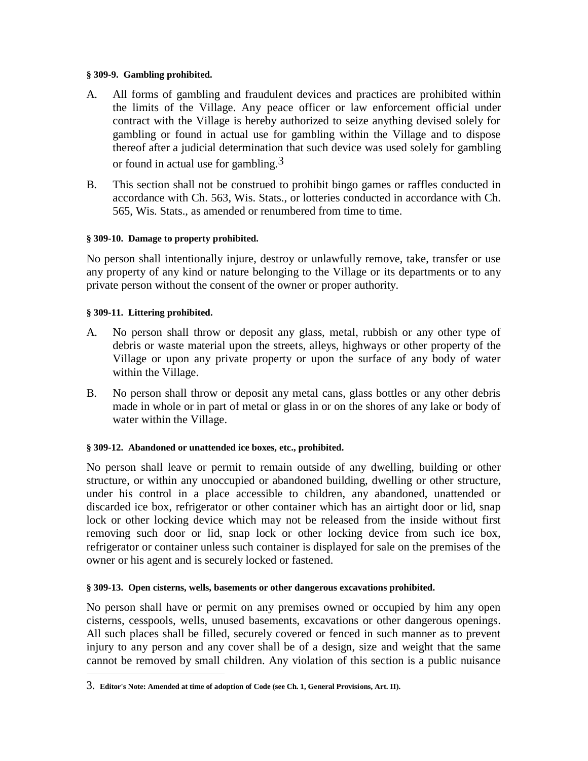#### **§ 309-9. Gambling prohibited.**

- A. All forms of gambling and fraudulent devices and practices are prohibited within the limits of the Village. Any peace officer or law enforcement official under contract with the Village is hereby authorized to seize anything devised solely for gambling or found in actual use for gambling within the Village and to dispose thereof after a judicial determination that such device was used solely for gambling or found in actual use for gambling.<sup>3</sup>
- B. This section shall not be construed to prohibit bingo games or raffles conducted in accordance with Ch. 563, Wis. Stats., or lotteries conducted in accordance with Ch. 565, Wis. Stats., as amended or renumbered from time to time.

### **§ 309-10. Damage to property prohibited.**

No person shall intentionally injure, destroy or unlawfully remove, take, transfer or use any property of any kind or nature belonging to the Village or its departments or to any private person without the consent of the owner or proper authority.

### **§ 309-11. Littering prohibited.**

 $\overline{a}$ 

- A. No person shall throw or deposit any glass, metal, rubbish or any other type of debris or waste material upon the streets, alleys, highways or other property of the Village or upon any private property or upon the surface of any body of water within the Village.
- B. No person shall throw or deposit any metal cans, glass bottles or any other debris made in whole or in part of metal or glass in or on the shores of any lake or body of water within the Village.

# **§ 309-12. Abandoned or unattended ice boxes, etc., prohibited.**

No person shall leave or permit to remain outside of any dwelling, building or other structure, or within any unoccupied or abandoned building, dwelling or other structure, under his control in a place accessible to children, any abandoned, unattended or discarded ice box, refrigerator or other container which has an airtight door or lid, snap lock or other locking device which may not be released from the inside without first removing such door or lid, snap lock or other locking device from such ice box, refrigerator or container unless such container is displayed for sale on the premises of the owner or his agent and is securely locked or fastened.

#### **§ 309-13. Open cisterns, wells, basements or other dangerous excavations prohibited.**

No person shall have or permit on any premises owned or occupied by him any open cisterns, cesspools, wells, unused basements, excavations or other dangerous openings. All such places shall be filled, securely covered or fenced in such manner as to prevent injury to any person and any cover shall be of a design, size and weight that the same cannot be removed by small children. Any violation of this section is a public nuisance

<sup>3.</sup> **Editor's Note: Amended at time of adoption of Code (see Ch. 1, General Provisions, Art. II).**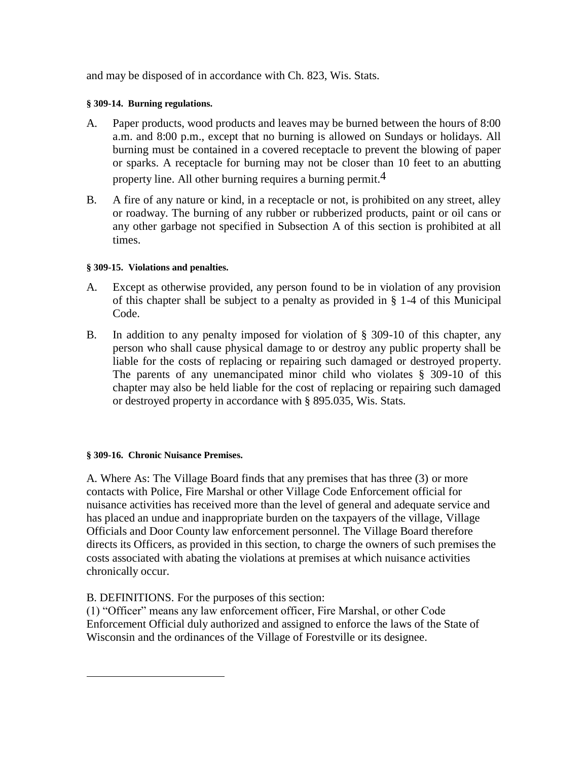and may be disposed of in accordance with Ch. 823, Wis. Stats.

# **§ 309-14. Burning regulations.**

- A. Paper products, wood products and leaves may be burned between the hours of 8:00 a.m. and 8:00 p.m., except that no burning is allowed on Sundays or holidays. All burning must be contained in a covered receptacle to prevent the blowing of paper or sparks. A receptacle for burning may not be closer than 10 feet to an abutting property line. All other burning requires a burning permit.4
- B. A fire of any nature or kind, in a receptacle or not, is prohibited on any street, alley or roadway. The burning of any rubber or rubberized products, paint or oil cans or any other garbage not specified in Subsection A of this section is prohibited at all times.

### **§ 309-15. Violations and penalties.**

- A. Except as otherwise provided, any person found to be in violation of any provision of this chapter shall be subject to a penalty as provided in § 1-4 of this Municipal Code.
- B. In addition to any penalty imposed for violation of § 309-10 of this chapter, any person who shall cause physical damage to or destroy any public property shall be liable for the costs of replacing or repairing such damaged or destroyed property. The parents of any unemancipated minor child who violates § 309-10 of this chapter may also be held liable for the cost of replacing or repairing such damaged or destroyed property in accordance with § 895.035, Wis. Stats.

# **§ 309-16. Chronic Nuisance Premises.**

 $\overline{a}$ 

A. Where As: The Village Board finds that any premises that has three (3) or more contacts with Police, Fire Marshal or other Village Code Enforcement official for nuisance activities has received more than the level of general and adequate service and has placed an undue and inappropriate burden on the taxpayers of the village, Village Officials and Door County law enforcement personnel. The Village Board therefore directs its Officers, as provided in this section, to charge the owners of such premises the costs associated with abating the violations at premises at which nuisance activities chronically occur.

B. DEFINITIONS. For the purposes of this section:

(1) "Officer" means any law enforcement officer, Fire Marshal, or other Code Enforcement Official duly authorized and assigned to enforce the laws of the State of Wisconsin and the ordinances of the Village of Forestville or its designee.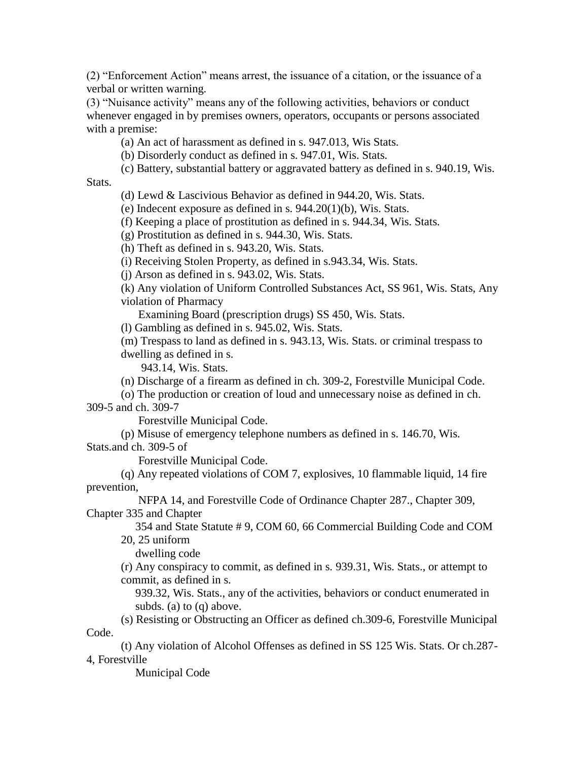(2) "Enforcement Action" means arrest, the issuance of a citation, or the issuance of a verbal or written warning.

(3) "Nuisance activity" means any of the following activities, behaviors or conduct whenever engaged in by premises owners, operators, occupants or persons associated with a premise:

(a) An act of harassment as defined in s. 947.013, Wis Stats.

(b) Disorderly conduct as defined in s. 947.01, Wis. Stats.

(c) Battery, substantial battery or aggravated battery as defined in s. 940.19, Wis.

Stats.

(d) Lewd & Lascivious Behavior as defined in 944.20, Wis. Stats.

(e) Indecent exposure as defined in s. 944.20(1)(b), Wis. Stats.

(f) Keeping a place of prostitution as defined in s. 944.34, Wis. Stats.

(g) Prostitution as defined in s. 944.30, Wis. Stats.

(h) Theft as defined in s. 943.20, Wis. Stats.

(i) Receiving Stolen Property, as defined in s.943.34, Wis. Stats.

(j) Arson as defined in s. 943.02, Wis. Stats.

(k) Any violation of Uniform Controlled Substances Act, SS 961, Wis. Stats, Any violation of Pharmacy

Examining Board (prescription drugs) SS 450, Wis. Stats.

(l) Gambling as defined in s. 945.02, Wis. Stats.

(m) Trespass to land as defined in s. 943.13, Wis. Stats. or criminal trespass to dwelling as defined in s.

943.14, Wis. Stats.

(n) Discharge of a firearm as defined in ch. 309-2, Forestville Municipal Code.

(o) The production or creation of loud and unnecessary noise as defined in ch. 309-5 and ch. 309-7

Forestville Municipal Code.

(p) Misuse of emergency telephone numbers as defined in s. 146.70, Wis.

Stats.and ch. 309-5 of

Forestville Municipal Code.

(q) Any repeated violations of COM 7, explosives, 10 flammable liquid, 14 fire prevention,

 NFPA 14, and Forestville Code of Ordinance Chapter 287., Chapter 309, Chapter 335 and Chapter

 354 and State Statute # 9, COM 60, 66 Commercial Building Code and COM 20, 25 uniform

dwelling code

(r) Any conspiracy to commit, as defined in s. 939.31, Wis. Stats., or attempt to commit, as defined in s.

 939.32, Wis. Stats., any of the activities, behaviors or conduct enumerated in subds. (a) to (q) above.

(s) Resisting or Obstructing an Officer as defined ch.309-6, Forestville Municipal Code.

(t) Any violation of Alcohol Offenses as defined in SS 125 Wis. Stats. Or ch.287- 4, Forestville

Municipal Code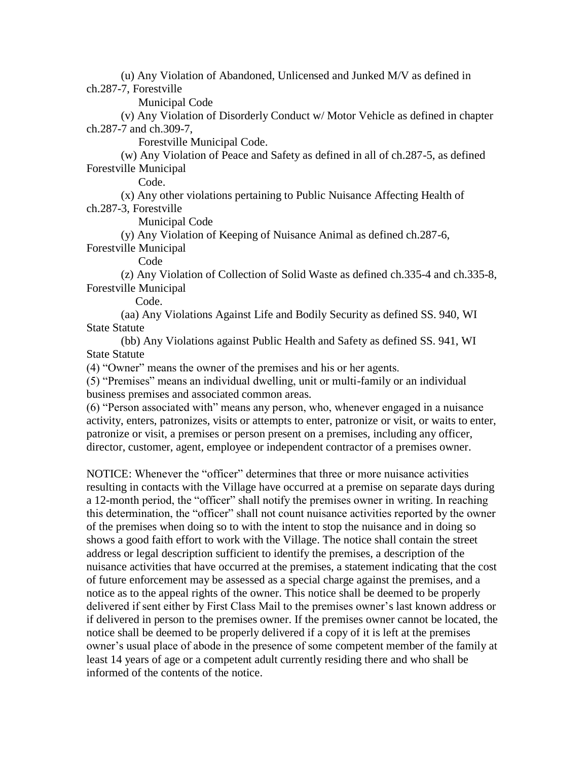(u) Any Violation of Abandoned, Unlicensed and Junked M/V as defined in ch.287-7, Forestville

Municipal Code

(v) Any Violation of Disorderly Conduct w/ Motor Vehicle as defined in chapter ch.287-7 and ch.309-7,

Forestville Municipal Code.

(w) Any Violation of Peace and Safety as defined in all of ch.287-5, as defined Forestville Municipal

Code.

(x) Any other violations pertaining to Public Nuisance Affecting Health of ch.287-3, Forestville

Municipal Code

(y) Any Violation of Keeping of Nuisance Animal as defined ch.287-6,

Forestville Municipal

Code

(z) Any Violation of Collection of Solid Waste as defined ch.335-4 and ch.335-8, Forestville Municipal

Code.

(aa) Any Violations Against Life and Bodily Security as defined SS. 940, WI State Statute

(bb) Any Violations against Public Health and Safety as defined SS. 941, WI State Statute

(4) "Owner" means the owner of the premises and his or her agents.

(5) "Premises" means an individual dwelling, unit or multi-family or an individual business premises and associated common areas.

(6) "Person associated with" means any person, who, whenever engaged in a nuisance activity, enters, patronizes, visits or attempts to enter, patronize or visit, or waits to enter, patronize or visit, a premises or person present on a premises, including any officer, director, customer, agent, employee or independent contractor of a premises owner.

NOTICE: Whenever the "officer" determines that three or more nuisance activities resulting in contacts with the Village have occurred at a premise on separate days during a 12-month period, the "officer" shall notify the premises owner in writing. In reaching this determination, the "officer" shall not count nuisance activities reported by the owner of the premises when doing so to with the intent to stop the nuisance and in doing so shows a good faith effort to work with the Village. The notice shall contain the street address or legal description sufficient to identify the premises, a description of the nuisance activities that have occurred at the premises, a statement indicating that the cost of future enforcement may be assessed as a special charge against the premises, and a notice as to the appeal rights of the owner. This notice shall be deemed to be properly delivered if sent either by First Class Mail to the premises owner's last known address or if delivered in person to the premises owner. If the premises owner cannot be located, the notice shall be deemed to be properly delivered if a copy of it is left at the premises owner's usual place of abode in the presence of some competent member of the family at least 14 years of age or a competent adult currently residing there and who shall be informed of the contents of the notice.